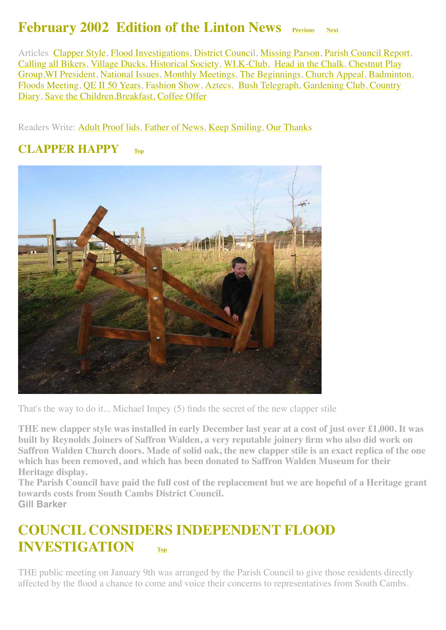#### **February 2002 Edition of the Linton News Previous** [Next](http://www.linton.info/lintonnews/0203.html)

<span id="page-0-2"></span>Articles [Clapper Style](#page-0-0), [Flood Investigations,](#page-0-1) [District Council](#page-1-0), [Missing Parson,](#page-2-0) [Parish Council Report](#page-2-1), [Calling all Bikers,](#page-2-2) [Village Ducks,](#page-3-0) [Historical Society](#page-4-0), [WI](#page-4-1)[,K-Club,](#page-4-2) [Head in the Chalk](#page-5-0), Chestnut Play [Group,WI President, National Issues, Monthly Meetings, The Beginnings, Church Appeal, Badmint](#page-6-0)[on](#page-9-1), [Floods Meeting, QE II 50 Years, Fashion Show, Aztecs, Bush Telegraph,](#page-12-0) [Gardening Club](#page-11-3), Country Diary, [Save the Children,](#page-13-0)[Breakfast,](#page-13-1) [Coffee Offer](#page-13-2)

Readers Write: [Adult Proof lids,](#page-4-3) [Father of News](#page-5-1), [Keep Smiling](#page-5-2), [Our Thanks](#page-5-3)

#### <span id="page-0-0"></span>**CLAPPER HAPPY [Top](#page-0-2)**



That's the way to do it... Michael Impey (5) finds the secret of the new clapper stile

**THE new clapper style was installed in early December last year at a cost of just over £1,000. It was built by Reynolds Joiners of Saffron Walden, a very reputable joinery firm who also did work on Saffron Walden Church doors. Made of solid oak, the new clapper stile is an exact replica of the one which has been removed, and which has been donated to Saffron Walden Museum for their Heritage display.**

**The Parish Council have paid the full cost of the replacement but we are hopeful of a Heritage grant towards costs from South Cambs District Council. Gill Barker**

### <span id="page-0-1"></span>**COUNCIL CONSIDERS INDEPENDENT FLOOD INVESTIGATION [Top](#page-0-2)**

THE public meeting on January 9th was arranged by the Parish Council to give those residents directly affected by the flood a chance to come and voice their concerns to representatives from South Cambs.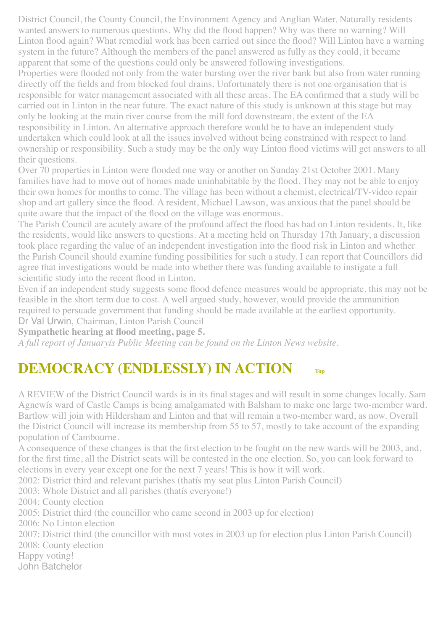District Council, the County Council, the Environment Agency and Anglian Water. Naturally residents wanted answers to numerous questions. Why did the flood happen? Why was there no warning? Will Linton flood again? What remedial work has been carried out since the flood? Will Linton have a warning system in the future? Although the members of the panel answered as fully as they could, it became apparent that some of the questions could only be answered following investigations.

Properties were flooded not only from the water bursting over the river bank but also from water running directly off the fields and from blocked foul drains. Unfortunately there is not one organisation that is responsible for water management associated with all these areas. The EA confirmed that a study will be carried out in Linton in the near future. The exact nature of this study is unknown at this stage but may only be looking at the main river course from the mill ford downstream, the extent of the EA responsibility in Linton. An alternative approach therefore would be to have an independent study undertaken which could look at all the issues involved without being constrained with respect to land ownership or responsibility. Such a study may be the only way Linton flood victims will get answers to all their questions.

Over 70 properties in Linton were flooded one way or another on Sunday 21st October 2001. Many families have had to move out of homes made uninhabitable by the flood. They may not be able to enjoy their own homes for months to come. The village has been without a chemist, electrical/TV-video repair shop and art gallery since the flood. A resident, Michael Lawson, was anxious that the panel should be quite aware that the impact of the flood on the village was enormous.

The Parish Council are acutely aware of the profound affect the flood has had on Linton residents. It, like the residents, would like answers to questions. At a meeting held on Thursday 17th January, a discussion took place regarding the value of an independent investigation into the flood risk in Linton and whether the Parish Council should examine funding possibilities for such a study. I can report that Councillors did agree that investigations would be made into whether there was funding available to instigate a full scientific study into the recent flood in Linton.

Even if an independent study suggests some flood defence measures would be appropriate, this may not be feasible in the short term due to cost. A well argued study, however, would provide the ammunition required to persuade government that funding should be made available at the earliest opportunity.

Dr Val Urwin, Chairman, Linton Parish Council

**Sympathetic hearing at flood meeting, page 5.** 

*A full report of Januaryís Public Meeting can be found on the Linton News website.*

## <span id="page-1-0"></span>**DEMOCRACY (ENDLESSLY) IN ACTION**

A REVIEW of the District Council wards is in its final stages and will result in some changes locally. Sam Agnewís ward of Castle Camps is being amalgamated with Balsham to make one large two-member ward. Bartlow will join with Hildersham and Linton and that will remain a two-member ward, as now. Overall the District Council will increase its membership from 55 to 57, mostly to take account of the expanding population of Cambourne.

A consequence of these changes is that the first election to be fought on the new wards will be 2003, and, for the first time, all the District seats will be contested in the one election. So, you can look forward to elections in every year except one for the next 7 years! This is how it will work.

2002: District third and relevant parishes (thatís my seat plus Linton Parish Council)

2003: Whole District and all parishes (thatís everyone!)

2004: County election

2005: District third (the councillor who came second in 2003 up for election)

2006: No Linton election

2007: District third (the councillor with most votes in 2003 up for election plus Linton Parish Council)

2008: County election

Happy voting!

John Batchelor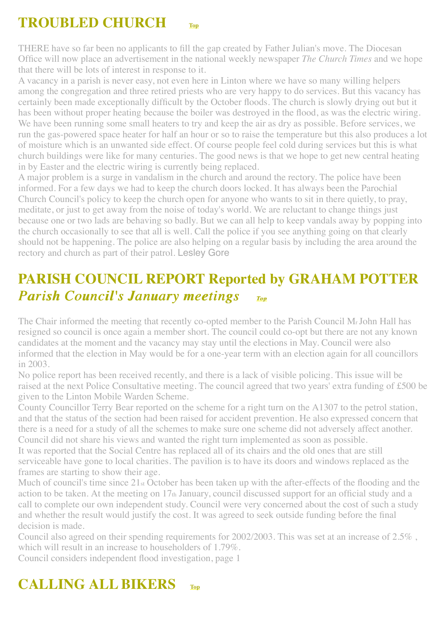# <span id="page-2-0"></span>**TROUBLED CHURCH [Top](#page-0-2)**

THERE have so far been no applicants to fill the gap created by Father Julian's move. The Diocesan Office will now place an advertisement in the national weekly newspaper *The Church Times* and we hope that there will be lots of interest in response to it.

A vacancy in a parish is never easy, not even here in Linton where we have so many willing helpers among the congregation and three retired priests who are very happy to do services. But this vacancy has certainly been made exceptionally difficult by the October floods. The church is slowly drying out but it has been without proper heating because the boiler was destroyed in the flood, as was the electric wiring. We have been running some small heaters to try and keep the air as dry as possible. Before services, we run the gas-powered space heater for half an hour or so to raise the temperature but this also produces a lot of moisture which is an unwanted side effect. Of course people feel cold during services but this is what church buildings were like for many centuries. The good news is that we hope to get new central heating in by Easter and the electric wiring is currently being replaced.

A major problem is a surge in vandalism in the church and around the rectory. The police have been informed. For a few days we had to keep the church doors locked. It has always been the Parochial Church Council's policy to keep the church open for anyone who wants to sit in there quietly, to pray, meditate, or just to get away from the noise of today's world. We are reluctant to change things just because one or two lads are behaving so badly. But we can all help to keep vandals away by popping into the church occasionally to see that all is well. Call the police if you see anything going on that clearly should not be happening. The police are also helping on a regular basis by including the area around the rectory and church as part of their patrol. Lesley Gore

## <span id="page-2-1"></span>**PARISH COUNCIL REPORT Reported by GRAHAM POTTER**  *Parish Council's January meetings IOP*

The Chair informed the meeting that recently co-opted member to the Parish Council Mr John Hall has resigned so council is once again a member short. The council could co-opt but there are not any known candidates at the moment and the vacancy may stay until the elections in May. Council were also informed that the election in May would be for a one-year term with an election again for all councillors in 2003.

No police report has been received recently, and there is a lack of visible policing. This issue will be raised at the next Police Consultative meeting. The council agreed that two years' extra funding of £500 be given to the Linton Mobile Warden Scheme.

County Councillor Terry Bear reported on the scheme for a right turn on the A1307 to the petrol station, and that the status of the section had been raised for accident prevention. He also expressed concern that there is a need for a study of all the schemes to make sure one scheme did not adversely affect another. Council did not share his views and wanted the right turn implemented as soon as possible.

It was reported that the Social Centre has replaced all of its chairs and the old ones that are still serviceable have gone to local charities. The pavilion is to have its doors and windows replaced as the frames are starting to show their age.

Much of council's time since 21st October has been taken up with the after-effects of the flooding and the action to be taken. At the meeting on 17th January, council discussed support for an official study and a call to complete our own independent study. Council were very concerned about the cost of such a study and whether the result would justify the cost. It was agreed to seek outside funding before the final decision is made.

Council also agreed on their spending requirements for 2002/2003. This was set at an increase of 2.5% , which will result in an increase to householders of 1.79%.

Council considers independent flood investigation, page 1

## <span id="page-2-2"></span>**CALLING ALL BIKERS [Top](#page-0-2)**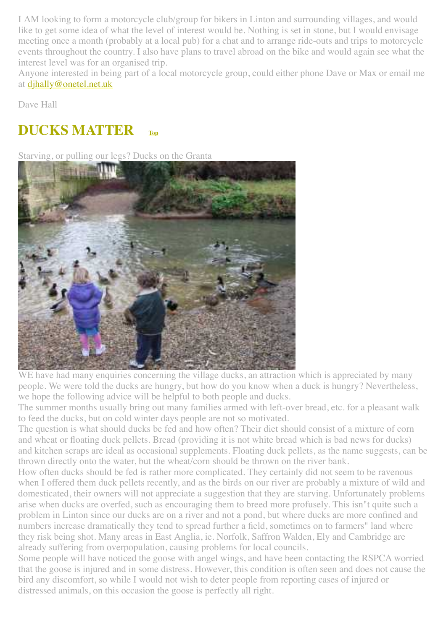I AM looking to form a motorcycle club/group for bikers in Linton and surrounding villages, and would like to get some idea of what the level of interest would be. Nothing is set in stone, but I would envisage meeting once a month (probably at a local pub) for a chat and to arrange ride-outs and trips to motorcycle events throughout the country. I also have plans to travel abroad on the bike and would again see what the interest level was for an organised trip.

Anyone interested in being part of a local motorcycle group, could either phone Dave or Max or email me at [djhally@onetel.net.uk](mailto:djhally@onetel.net.uk)

Dave Hall

## <span id="page-3-0"></span>**DUCKS MATTER**

Starving, or pulling our legs? Ducks on the Granta



WE have had many enquiries concerning the village ducks, an attraction which is appreciated by many people. We were told the ducks are hungry, but how do you know when a duck is hungry? Nevertheless, we hope the following advice will be helpful to both people and ducks.

The summer months usually bring out many families armed with left-over bread, etc. for a pleasant walk to feed the ducks, but on cold winter days people are not so motivated.

The question is what should ducks be fed and how often? Their diet should consist of a mixture of corn and wheat or floating duck pellets. Bread (providing it is not white bread which is bad news for ducks) and kitchen scraps are ideal as occasional supplements. Floating duck pellets, as the name suggests, can be thrown directly onto the water, but the wheat/corn should be thrown on the river bank.

How often ducks should be fed is rather more complicated. They certainly did not seem to be ravenous when I offered them duck pellets recently, and as the birds on our river are probably a mixture of wild and domesticated, their owners will not appreciate a suggestion that they are starving. Unfortunately problems arise when ducks are overfed, such as encouraging them to breed more profusely. This isn"t quite such a problem in Linton since our ducks are on a river and not a pond, but where ducks are more confined and numbers increase dramatically they tend to spread further a field, sometimes on to farmers" land where they risk being shot. Many areas in East Anglia, ie. Norfolk, Saffron Walden, Ely and Cambridge are already suffering from overpopulation, causing problems for local councils.

Some people will have noticed the goose with angel wings, and have been contacting the RSPCA worried that the goose is injured and in some distress. However, this condition is often seen and does not cause the bird any discomfort, so while I would not wish to deter people from reporting cases of injured or distressed animals, on this occasion the goose is perfectly all right.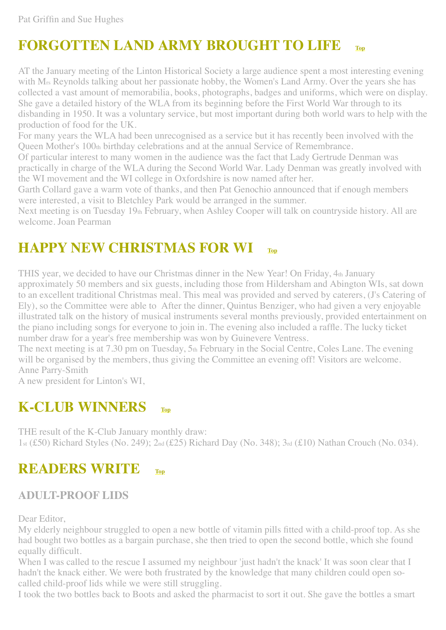## <span id="page-4-0"></span>**FORGOTTEN LAND ARMY BROUGHT TO LIFE [Top](#page-0-2)**

AT the January meeting of the Linton Historical Society a large audience spent a most interesting evening with M<sub>rs</sub> Reynolds talking about her passionate hobby, the Women's Land Army. Over the years she has collected a vast amount of memorabilia, books, photographs, badges and uniforms, which were on display. She gave a detailed history of the WLA from its beginning before the First World War through to its disbanding in 1950. It was a voluntary service, but most important during both world wars to help with the production of food for the UK.

For many years the WLA had been unrecognised as a service but it has recently been involved with the Queen Mother's 100th birthday celebrations and at the annual Service of Remembrance.

Of particular interest to many women in the audience was the fact that Lady Gertrude Denman was practically in charge of the WLA during the Second World War. Lady Denman was greatly involved with the WI movement and the WI college in Oxfordshire is now named after her.

Garth Collard gave a warm vote of thanks, and then Pat Genochio announced that if enough members were interested, a visit to Bletchley Park would be arranged in the summer.

Next meeting is on Tuesday 19th February, when Ashley Cooper will talk on countryside history. All are welcome. Joan Pearman

### <span id="page-4-1"></span>**HAPPY NEW CHRISTMAS FOR WI**

THIS year, we decided to have our Christmas dinner in the New Year! On Friday, 4th January approximately 50 members and six guests, including those from Hildersham and Abington WIs, sat down to an excellent traditional Christmas meal. This meal was provided and served by caterers, (J's Catering of Ely), so the Committee were able to After the dinner, Quintus Benziger, who had given a very enjoyable illustrated talk on the history of musical instruments several months previously, provided entertainment on the piano including songs for everyone to join in. The evening also included a raffle. The lucky ticket number draw for a year's free membership was won by Guinevere Ventress.

The next meeting is at 7.30 pm on Tuesday, 5th February in the Social Centre, Coles Lane. The evening will be organised by the members, thus giving the Committee an evening off! Visitors are welcome. Anne Parry-Smith

A new president for Linton's WI,

#### <span id="page-4-2"></span>**K-CLUB WINNERS [Top](#page-0-2)**

THE result of the K-Club January monthly draw: 1st (£50) Richard Styles (No. 249); 2nd (£25) Richard Day (No. 348); 3rd (£10) Nathan Crouch (No. 034).

#### **READERS WRITE [Top](#page-0-2)**

#### <span id="page-4-3"></span>**ADULT-PROOF LIDS**

Dear Editor,

My elderly neighbour struggled to open a new bottle of vitamin pills fitted with a child-proof top. As she had bought two bottles as a bargain purchase, she then tried to open the second bottle, which she found equally difficult.

When I was called to the rescue I assumed my neighbour 'just hadn't the knack' It was soon clear that I hadn't the knack either. We were both frustrated by the knowledge that many children could open socalled child-proof lids while we were still struggling.

I took the two bottles back to Boots and asked the pharmacist to sort it out. She gave the bottles a smart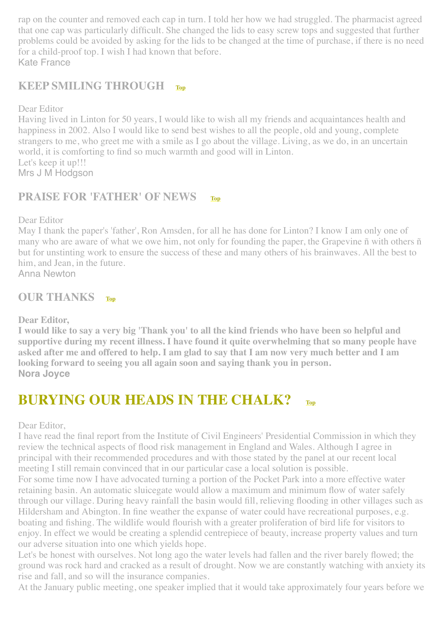rap on the counter and removed each cap in turn. I told her how we had struggled. The pharmacist agreed that one cap was particularly difficult. She changed the lids to easy screw tops and suggested that further problems could be avoided by asking for the lids to be changed at the time of purchase, if there is no need for a child-proof top. I wish I had known that before. Kate France

#### <span id="page-5-2"></span>**KEEP SMILING THROUGH [Top](#page-0-2)**

Dear Editor

Having lived in Linton for 50 years, I would like to wish all my friends and acquaintances health and happiness in 2002. Also I would like to send best wishes to all the people, old and young, complete strangers to me, who greet me with a smile as I go about the village. Living, as we do, in an uncertain world, it is comforting to find so much warmth and good will in Linton. Let's keep it up!!! Mrs J M Hodgson

#### <span id="page-5-1"></span>**PRAISE FOR 'FATHER' OF NEWS**

Dear Editor

May I thank the paper's 'father', Ron Amsden, for all he has done for Linton? I know I am only one of many who are aware of what we owe him, not only for founding the paper, the Grapevine ñ with others ñ but for unstinting work to ensure the success of these and many others of his brainwaves. All the best to him, and Jean, in the future.

Anna Newton

#### <span id="page-5-3"></span>**OUR THANKS [Top](#page-0-2)**

#### **Dear Editor,**

**I would like to say a very big 'Thank you' to all the kind friends who have been so helpful and supportive during my recent illness. I have found it quite overwhelming that so many people have asked after me and offered to help. I am glad to say that I am now very much better and I am looking forward to seeing you all again soon and saying thank you in person. Nora Joyce**

#### <span id="page-5-0"></span>**BURYING OUR HEADS IN THE CHALK? [Top](#page-0-2)**

Dear Editor,

I have read the final report from the Institute of Civil Engineers' Presidential Commission in which they review the technical aspects of flood risk management in England and Wales. Although I agree in principal with their recommended procedures and with those stated by the panel at our recent local meeting I still remain convinced that in our particular case a local solution is possible.

For some time now I have advocated turning a portion of the Pocket Park into a more effective water retaining basin. An automatic sluicegate would allow a maximum and minimum flow of water safely through our village. During heavy rainfall the basin would fill, relieving flooding in other villages such as Hildersham and Abington. In fine weather the expanse of water could have recreational purposes, e.g. boating and fishing. The wildlife would flourish with a greater proliferation of bird life for visitors to enjoy. In effect we would be creating a splendid centrepiece of beauty, increase property values and turn our adverse situation into one which yields hope.

Let's be honest with ourselves. Not long ago the water levels had fallen and the river barely flowed; the ground was rock hard and cracked as a result of drought. Now we are constantly watching with anxiety its rise and fall, and so will the insurance companies.

At the January public meeting, one speaker implied that it would take approximately four years before we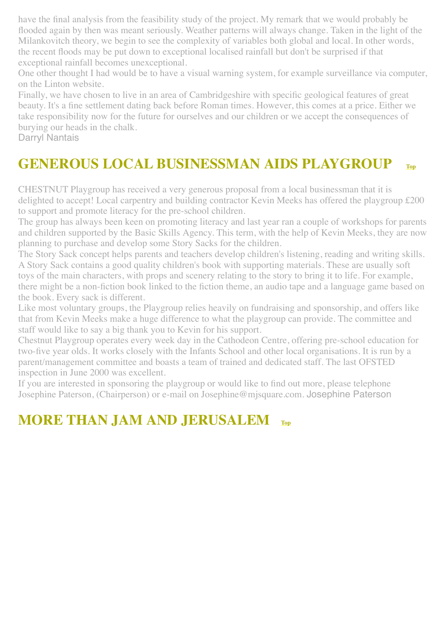have the final analysis from the feasibility study of the project. My remark that we would probably be flooded again by then was meant seriously. Weather patterns will always change. Taken in the light of the Milankovitch theory, we begin to see the complexity of variables both global and local. In other words, the recent floods may be put down to exceptional localised rainfall but don't be surprised if that exceptional rainfall becomes unexceptional.

One other thought I had would be to have a visual warning system, for example surveillance via computer, on the Linton website.

Finally, we have chosen to live in an area of Cambridgeshire with specific geological features of great beauty. It's a fine settlement dating back before Roman times. However, this comes at a price. Either we take responsibility now for the future for ourselves and our children or we accept the consequences of burying our heads in the chalk.

Darryl Nantais

## <span id="page-6-0"></span>**GENEROUS LOCAL BUSINESSMAN AIDS PLAYGROUP [Top](#page-0-2)**

CHESTNUT Playgroup has received a very generous proposal from a local businessman that it is delighted to accept! Local carpentry and building contractor Kevin Meeks has offered the playgroup £200 to support and promote literacy for the pre-school children.

The group has always been keen on promoting literacy and last year ran a couple of workshops for parents and children supported by the Basic Skills Agency. This term, with the help of Kevin Meeks, they are now planning to purchase and develop some Story Sacks for the children.

The Story Sack concept helps parents and teachers develop children's listening, reading and writing skills. A Story Sack contains a good quality children's book with supporting materials. These are usually soft toys of the main characters, with props and scenery relating to the story to bring it to life. For example, there might be a non-fiction book linked to the fiction theme, an audio tape and a language game based on the book. Every sack is different.

Like most voluntary groups, the Playgroup relies heavily on fundraising and sponsorship, and offers like that from Kevin Meeks make a huge difference to what the playgroup can provide. The committee and staff would like to say a big thank you to Kevin for his support.

Chestnut Playgroup operates every week day in the Cathodeon Centre, offering pre-school education for two-five year olds. It works closely with the Infants School and other local organisations. It is run by a parent/management committee and boasts a team of trained and dedicated staff. The last OFSTED inspection in June 2000 was excellent.

If you are interested in sponsoring the playgroup or would like to find out more, please telephone Josephine Paterson, (Chairperson) or e-mail on Josephine@mjsquare.com. Josephine Paterson

## <span id="page-6-1"></span>**MORE THAN JAM AND JERUSALEM**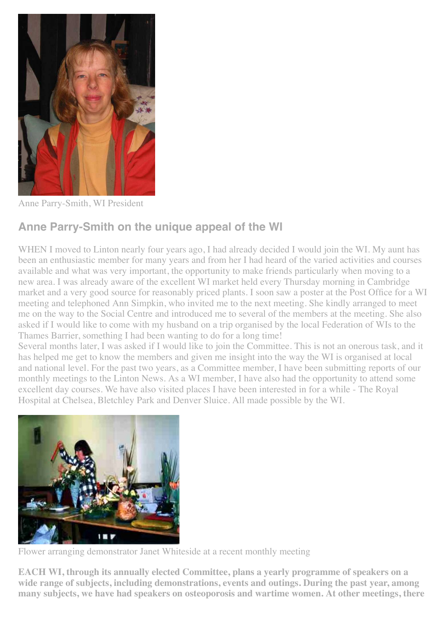

Anne Parry-Smith, WI President

#### **Anne Parry-Smith on the unique appeal of the WI**

WHEN I moved to Linton nearly four years ago, I had already decided I would join the WI. My aunt has been an enthusiastic member for many years and from her I had heard of the varied activities and courses available and what was very important, the opportunity to make friends particularly when moving to a new area. I was already aware of the excellent WI market held every Thursday morning in Cambridge market and a very good source for reasonably priced plants. I soon saw a poster at the Post Office for a WI meeting and telephoned Ann Simpkin, who invited me to the next meeting. She kindly arranged to meet me on the way to the Social Centre and introduced me to several of the members at the meeting. She also asked if I would like to come with my husband on a trip organised by the local Federation of WIs to the Thames Barrier, something I had been wanting to do for a long time!

Several months later, I was asked if I would like to join the Committee. This is not an onerous task, and it has helped me get to know the members and given me insight into the way the WI is organised at local and national level. For the past two years, as a Committee member, I have been submitting reports of our monthly meetings to the Linton News. As a WI member, I have also had the opportunity to attend some excellent day courses. We have also visited places I have been interested in for a while - The Royal Hospital at Chelsea, Bletchley Park and Denver Sluice. All made possible by the WI.



Flower arranging demonstrator Janet Whiteside at a recent monthly meeting

**EACH WI, through its annually elected Committee, plans a yearly programme of speakers on a wide range of subjects, including demonstrations, events and outings. During the past year, among many subjects, we have had speakers on osteoporosis and wartime women. At other meetings, there**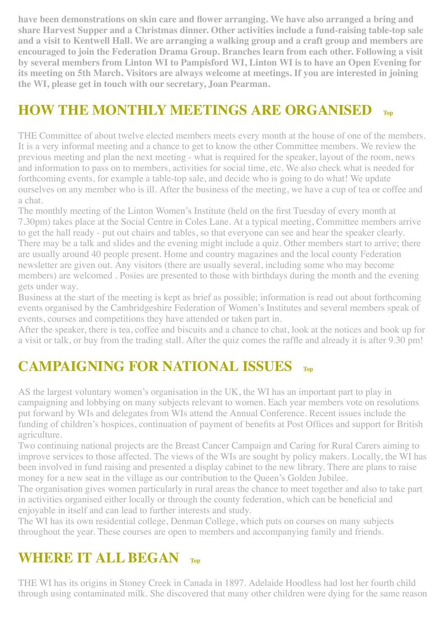**have been demonstrations on skin care and flower arranging. We have also arranged a bring and share Harvest Supper and a Christmas dinner. Other activities include a fund-raising table-top sale and a visit to Kentwell Hall. We are arranging a walking group and a craft group and members are encouraged to join the Federation Drama Group. Branches learn from each other. Following a visit by several members from Linton WI to Pampisford WI, Linton WI is to have an Open Evening for its meeting on 5th March. Visitors are always welcome at meetings. If you are interested in joining the WI, please get in touch with our secretary, Joan Pearman.**

## <span id="page-8-1"></span>**HOW THE MONTHLY MEETINGS ARE ORGANISED [Top](#page-0-2)**

THE Committee of about twelve elected members meets every month at the house of one of the members. It is a very informal meeting and a chance to get to know the other Committee members. We review the previous meeting and plan the next meeting - what is required for the speaker, layout of the room, news and information to pass on to members, activities for social time, etc. We also check what is needed for forthcoming events, for example a table-top sale, and decide who is going to do what! We update ourselves on any member who is ill. After the business of the meeting, we have a cup of tea or coffee and a chat.

The monthly meeting of the Linton Women's Institute (held on the first Tuesday of every month at 7.30pm) takes place at the Social Centre in Coles Lane. At a typical meeting, Committee members arrive to get the hall ready - put out chairs and tables, so that everyone can see and hear the speaker clearly. There may be a talk and slides and the evening might include a quiz. Other members start to arrive; there are usually around 40 people present. Home and country magazines and the local county Federation newsletter are given out. Any visitors (there are usually several, including some who may become members) are welcomed . Posies are presented to those with birthdays during the month and the evening gets under way.

Business at the start of the meeting is kept as brief as possible; information is read out about forthcoming events organised by the Cambridgeshire Federation of Women's Institutes and several members speak of events, courses and competitions they have attended or taken part in.

After the speaker, there is tea, coffee and biscuits and a chance to chat, look at the notices and book up for a visit or talk, or buy from the trading stall. After the quiz comes the raffle and already it is after 9.30 pm!

## <span id="page-8-0"></span>**CAMPAIGNING FOR NATIONAL ISSUES [Top](#page-0-2)**

AS the largest voluntary women's organisation in the UK, the WI has an important part to play in campaigning and lobbying on many subjects relevant to women. Each year members vote on resolutions put forward by WIs and delegates from WIs attend the Annual Conference. Recent issues include the funding of children's hospices, continuation of payment of benefits at Post Offices and support for British agriculture.

Two continuing national projects are the Breast Cancer Campaign and Caring for Rural Carers aiming to improve services to those affected. The views of the WIs are sought by policy makers. Locally, the WI has been involved in fund raising and presented a display cabinet to the new library. There are plans to raise money for a new seat in the village as our contribution to the Queen's Golden Jubilee.

The organisation gives women particularly in rural areas the chance to meet together and also to take part in activities organised either locally or through the county federation, which can be beneficial and enjoyable in itself and can lead to further interests and study.

The WI has its own residential college, Denman College, which puts on courses on many subjects throughout the year. These courses are open to members and accompanying family and friends.

### <span id="page-8-2"></span>**WHERE IT ALL BEGAN [Top](#page-0-2)**

THE WI has its origins in Stoney Creek in Canada in 1897. Adelaide Hoodless had lost her fourth child through using contaminated milk. She discovered that many other children were dying for the same reason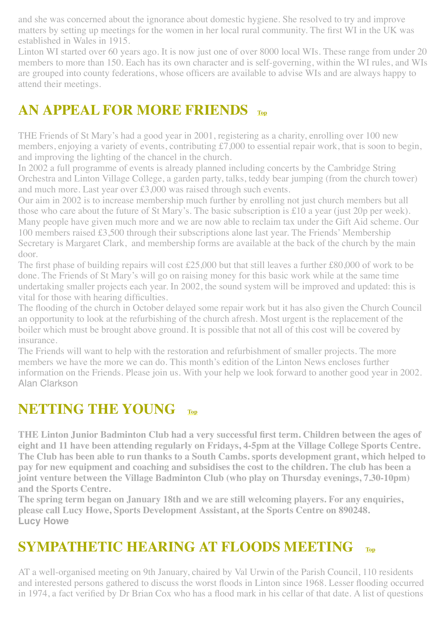and she was concerned about the ignorance about domestic hygiene. She resolved to try and improve matters by setting up meetings for the women in her local rural community. The first WI in the UK was established in Wales in 1915.

Linton WI started over 60 years ago. It is now just one of over 8000 local WIs. These range from under 20 members to more than 150. Each has its own character and is self-governing, within the WI rules, and WIs are grouped into county federations, whose officers are available to advise WIs and are always happy to attend their meetings.

## <span id="page-9-0"></span>**AN APPEAL FOR MORE FRIENDS [Top](#page-0-2)**

THE Friends of St Mary's had a good year in 2001, registering as a charity, enrolling over 100 new members, enjoying a variety of events, contributing £7,000 to essential repair work, that is soon to begin, and improving the lighting of the chancel in the church.

In 2002 a full programme of events is already planned including concerts by the Cambridge String Orchestra and Linton Village College, a garden party, talks, teddy bear jumping (from the church tower) and much more. Last year over £3,000 was raised through such events.

Our aim in 2002 is to increase membership much further by enrolling not just church members but all those who care about the future of St Mary's. The basic subscription is £10 a year (just 20p per week). Many people have given much more and we are now able to reclaim tax under the Gift Aid scheme. Our 100 members raised £3,500 through their subscriptions alone last year. The Friends' Membership Secretary is Margaret Clark, and membership forms are available at the back of the church by the main door.

The first phase of building repairs will cost £25,000 but that still leaves a further £80,000 of work to be done. The Friends of St Mary's will go on raising money for this basic work while at the same time undertaking smaller projects each year. In 2002, the sound system will be improved and updated: this is vital for those with hearing difficulties.

The flooding of the church in October delayed some repair work but it has also given the Church Council an opportunity to look at the refurbishing of the church afresh. Most urgent is the replacement of the boiler which must be brought above ground. It is possible that not all of this cost will be covered by insurance.

The Friends will want to help with the restoration and refurbishment of smaller projects. The more members we have the more we can do. This month's edition of the Linton News encloses further information on the Friends. Please join us. With your help we look forward to another good year in 2002. Alan Clarkson

#### <span id="page-9-1"></span>**NETTING THE YOUNG [Top](#page-0-2)**

**THE Linton Junior Badminton Club had a very successful first term. Children between the ages of eight and 11 have been attending regularly on Fridays, 4-5pm at the Village College Sports Centre. The Club has been able to run thanks to a South Cambs. sports development grant, which helped to pay for new equipment and coaching and subsidises the cost to the children. The club has been a joint venture between the Village Badminton Club (who play on Thursday evenings, 7.30-10pm) and the Sports Centre.** 

**The spring term began on January 18th and we are still welcoming players. For any enquiries, please call Lucy Howe, Sports Development Assistant, at the Sports Centre on 890248. Lucy Howe**

### <span id="page-9-2"></span>**SYMPATHETIC HEARING AT FLOODS MEETING**

AT a well-organised meeting on 9th January, chaired by Val Urwin of the Parish Council, 110 residents and interested persons gathered to discuss the worst floods in Linton since 1968. Lesser flooding occurred in 1974, a fact verified by Dr Brian Cox who has a flood mark in his cellar of that date. A list of questions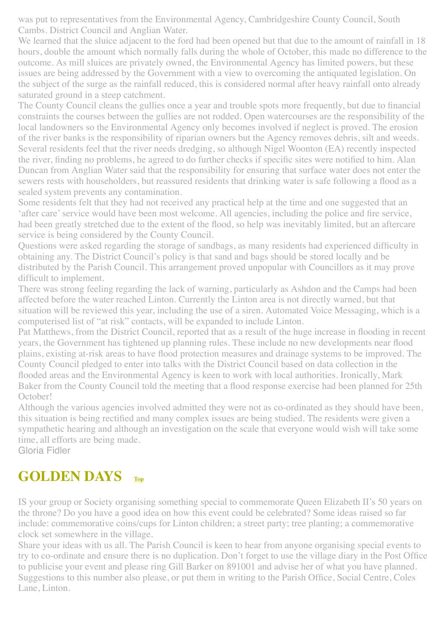was put to representatives from the Environmental Agency, Cambridgeshire County Council, South Cambs. District Council and Anglian Water.

We learned that the sluice adjacent to the ford had been opened but that due to the amount of rainfall in 18 hours, double the amount which normally falls during the whole of October, this made no difference to the outcome. As mill sluices are privately owned, the Environmental Agency has limited powers, but these issues are being addressed by the Government with a view to overcoming the antiquated legislation. On the subject of the surge as the rainfall reduced, this is considered normal after heavy rainfall onto already saturated ground in a steep catchment.

The County Council cleans the gullies once a year and trouble spots more frequently, but due to financial constraints the courses between the gullies are not rodded. Open watercourses are the responsibility of the local landowners so the Environmental Agency only becomes involved if neglect is proved. The erosion of the river banks is the responsibility of riparian owners but the Agency removes debris, silt and weeds. Several residents feel that the river needs dredging, so although Nigel Woonton (EA) recently inspected the river, finding no problems, he agreed to do further checks if specific sites were notified to him. Alan Duncan from Anglian Water said that the responsibility for ensuring that surface water does not enter the sewers rests with householders, but reassured residents that drinking water is safe following a flood as a sealed system prevents any contamination.

Some residents felt that they had not received any practical help at the time and one suggested that an 'after care' service would have been most welcome. All agencies, including the police and fire service, had been greatly stretched due to the extent of the flood, so help was inevitably limited, but an aftercare service is being considered by the County Council.

Questions were asked regarding the storage of sandbags, as many residents had experienced difficulty in obtaining any. The District Council's policy is that sand and bags should be stored locally and be distributed by the Parish Council. This arrangement proved unpopular with Councillors as it may prove difficult to implement.

There was strong feeling regarding the lack of warning, particularly as Ashdon and the Camps had been affected before the water reached Linton. Currently the Linton area is not directly warned, but that situation will be reviewed this year, including the use of a siren. Automated Voice Messaging, which is a computerised list of "at risk" contacts, will be expanded to include Linton.

Pat Matthews, from the District Council, reported that as a result of the huge increase in flooding in recent years, the Government has tightened up planning rules. These include no new developments near flood plains, existing at-risk areas to have flood protection measures and drainage systems to be improved. The County Council pledged to enter into talks with the District Council based on data collection in the flooded areas and the Environmental Agency is keen to work with local authorities. Ironically, Mark Baker from the County Council told the meeting that a flood response exercise had been planned for 25th October!

Although the various agencies involved admitted they were not as co-ordinated as they should have been, this situation is being rectified and many complex issues are being studied. The residents were given a sympathetic hearing and although an investigation on the scale that everyone would wish will take some time, all efforts are being made.

Gloria Fidler

## <span id="page-10-0"></span>**GOLDEN DAYS [Top](#page-0-2)**

IS your group or Society organising something special to commemorate Queen Elizabeth II's 50 years on the throne? Do you have a good idea on how this event could be celebrated? Some ideas raised so far include: commemorative coins/cups for Linton children; a street party; tree planting; a commemorative clock set somewhere in the village.

Share your ideas with us all. The Parish Council is keen to hear from anyone organising special events to try to co-ordinate and ensure there is no duplication. Don't forget to use the village diary in the Post Office to publicise your event and please ring Gill Barker on 891001 and advise her of what you have planned. Suggestions to this number also please, or put them in writing to the Parish Office, Social Centre, Coles Lane, Linton.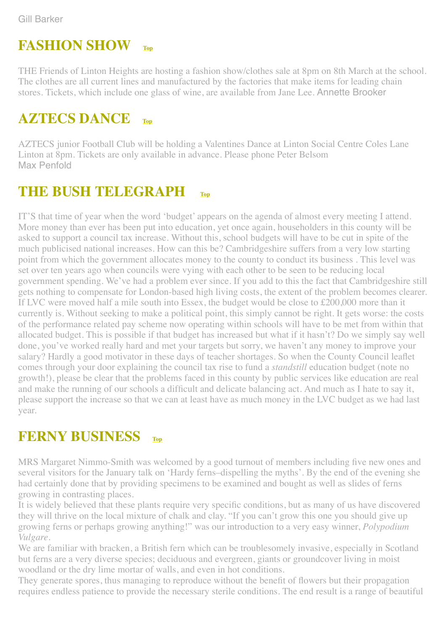#### <span id="page-11-0"></span>**FASHION SHOW [Top](#page-0-2)**

THE Friends of Linton Heights are hosting a fashion show/clothes sale at 8pm on 8th March at the school. The clothes are all current lines and manufactured by the factories that make items for leading chain stores. Tickets, which include one glass of wine, are available from Jane Lee. Annette Brooker

## <span id="page-11-1"></span>**AZTECS DANCE [Top](#page-0-2)**

AZTECS junior Football Club will be holding a Valentines Dance at Linton Social Centre Coles Lane Linton at 8pm. Tickets are only available in advance. Please phone Peter Belsom Max Penfold

#### <span id="page-11-2"></span>**THE BUSH TELEGRAPH** [Top](#page-0-2)

IT'S that time of year when the word 'budget' appears on the agenda of almost every meeting I attend. More money than ever has been put into education, yet once again, householders in this county will be asked to support a council tax increase. Without this, school budgets will have to be cut in spite of the much publicised national increases. How can this be? Cambridgeshire suffers from a very low starting point from which the government allocates money to the county to conduct its business . This level was set over ten years ago when councils were vying with each other to be seen to be reducing local government spending. We've had a problem ever since. If you add to this the fact that Cambridgeshire still gets nothing to compensate for London-based high living costs, the extent of the problem becomes clearer. If LVC were moved half a mile south into Essex, the budget would be close to £200,000 more than it currently is. Without seeking to make a political point, this simply cannot be right. It gets worse: the costs of the performance related pay scheme now operating within schools will have to be met from within that allocated budget. This is possible if that budget has increased but what if it hasn't? Do we simply say well done, you've worked really hard and met your targets but sorry, we haven't any money to improve your salary? Hardly a good motivator in these days of teacher shortages. So when the County Council leaflet comes through your door explaining the council tax rise to fund a *standstill* education budget (note no growth!), please be clear that the problems faced in this county by public services like education are real and make the running of our schools a difficult and delicate balancing act. And much as I hate to say it, please support the increase so that we can at least have as much money in the LVC budget as we had last year.

#### <span id="page-11-3"></span>**FERNY BUSINESS [Top](#page-0-2)**

MRS Margaret Nimmo-Smith was welcomed by a good turnout of members including five new ones and several visitors for the January talk on 'Hardy ferns–dispelling the myths'. By the end of the evening she had certainly done that by providing specimens to be examined and bought as well as slides of ferns growing in contrasting places.

It is widely believed that these plants require very specific conditions, but as many of us have discovered they will thrive on the local mixture of chalk and clay. "If you can't grow this one you should give up growing ferns or perhaps growing anything!" was our introduction to a very easy winner, *Polypodium Vulgare*.

We are familiar with bracken, a British fern which can be troublesomely invasive, especially in Scotland but ferns are a very diverse species; deciduous and evergreen, giants or groundcover living in moist woodland or the dry lime mortar of walls, and even in hot conditions.

They generate spores, thus managing to reproduce without the benefit of flowers but their propagation requires endless patience to provide the necessary sterile conditions. The end result is a range of beautiful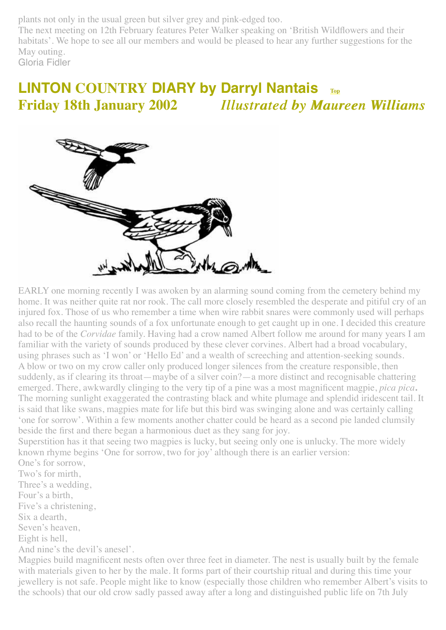plants not only in the usual green but silver grey and pink-edged too.

The next meeting on 12th February features Peter Walker speaking on 'British Wildflowers and their habitats'. We hope to see all our members and would be pleased to hear any further suggestions for the May outing.

Gloria Fidler

## <span id="page-12-0"></span>**LINTON COUNTRY DIARY by Darryl Nantais [Top](#page-0-2) Friday 18th January 2002** *Illustrated by Maureen Illustrated by Williams Williams*



EARLY one morning recently I was awoken by an alarming sound coming from the cemetery behind my home. It was neither quite rat nor rook. The call more closely resembled the desperate and pitiful cry of an injured fox. Those of us who remember a time when wire rabbit snares were commonly used will perhaps also recall the haunting sounds of a fox unfortunate enough to get caught up in one. I decided this creature had to be of the *Corvidae* family. Having had a crow named Albert follow me around for many years I am familiar with the variety of sounds produced by these clever corvines. Albert had a broad vocabulary, using phrases such as 'I won' or 'Hello Ed' and a wealth of screeching and attention-seeking sounds. A blow or two on my crow caller only produced longer silences from the creature responsible, then suddenly, as if clearing its throat—maybe of a silver coin?—a more distinct and recognisable chattering emerged. There, awkwardly clinging to the very tip of a pine was a most magnificent magpie, *pica pica***.** The morning sunlight exaggerated the contrasting black and white plumage and splendid iridescent tail. It is said that like swans, magpies mate for life but this bird was swinging alone and was certainly calling 'one for sorrow'. Within a few moments another chatter could be heard as a second pie landed clumsily beside the first and there began a harmonious duet as they sang for joy.

Superstition has it that seeing two magpies is lucky, but seeing only one is unlucky. The more widely known rhyme begins 'One for sorrow, two for joy' although there is an earlier version: One's for sorrow,

Two's for mirth, Three's a wedding, Four's a birth, Five's a christening, Six a dearth, Seven's heaven, Eight is hell, And nine's the devil's anesel'.

Magpies build magnificent nests often over three feet in diameter. The nest is usually built by the female with materials given to her by the male. It forms part of their courtship ritual and during this time your jewellery is not safe. People might like to know (especially those children who remember Albert's visits to the schools) that our old crow sadly passed away after a long and distinguished public life on 7th July